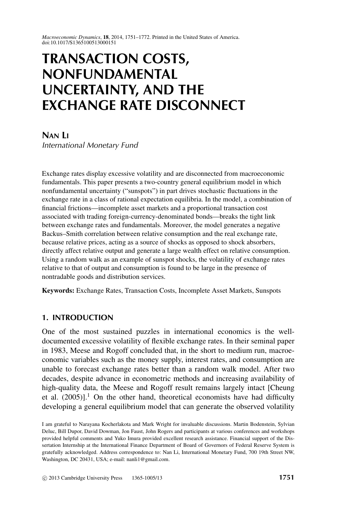*Macroeconomic Dynamics*, **18**, 2014, 1751–1772. Printed in the United States of America. doi:10.1017/S1365100513000151

# **TRANSACTION COSTS, NONFUNDAMENTAL UNCERTAINTY, AND THE EXCHANGE RATE DISCONNECT**

**NAN LI**

*International Monetary Fund*

Exchange rates display excessive volatility and are disconnected from macroeconomic fundamentals. This paper presents a two-country general equilibrium model in which nonfundamental uncertainty ("sunspots") in part drives stochastic fluctuations in the exchange rate in a class of rational expectation equilibria. In the model, a combination of financial frictions—incomplete asset markets and a proportional transaction cost associated with trading foreign-currency-denominated bonds—breaks the tight link between exchange rates and fundamentals. Moreover, the model generates a negative Backus–Smith correlation between relative consumption and the real exchange rate, because relative prices, acting as a source of shocks as opposed to shock absorbers, directly affect relative output and generate a large wealth effect on relative consumption. Using a random walk as an example of sunspot shocks, the volatility of exchange rates relative to that of output and consumption is found to be large in the presence of nontradable goods and distribution services.

**Keywords:** Exchange Rates, Transaction Costs, Incomplete Asset Markets, Sunspots

# **1. INTRODUCTION**

One of the most sustained puzzles in international economics is the welldocumented excessive volatility of flexible exchange rates. In their seminal paper in 1983, Meese and Rogoff concluded that, in the short to medium run, macroeconomic variables such as the money supply, interest rates, and consumption are unable to forecast exchange rates better than a random walk model. After two decades, despite advance in econometric methods and increasing availability of high-quality data, the Meese and Rogoff result remains largely intact [Cheung et al.  $(2005)$ ].<sup>1</sup> On the other hand, theoretical economists have had difficulty developing a general equilibrium model that can generate the observed volatility

I am grateful to Narayana Kocherlakota and Mark Wright for invaluable discussions. Martin Bodenstein, Sylvian Deluc, Bill Dupor, David Dowman, Jon Faust, John Rogers and participants at various conferences and workshops provided helpful comments and Yuko Imura provided excellent research assistance. Financial support of the Dissertation Internship at the International Finance Department of Board of Governors of Federal Reserve System is gratefully acknowledged. Address correspondence to: Nan Li, International Monetary Fund, 700 19th Street NW, Washington, DC 20431, USA; e-mail: nanli1@gmail.com.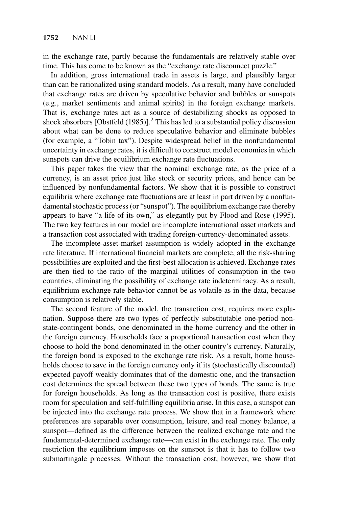in the exchange rate, partly because the fundamentals are relatively stable over time. This has come to be known as the "exchange rate disconnect puzzle."

In addition, gross international trade in assets is large, and plausibly larger than can be rationalized using standard models. As a result, many have concluded that exchange rates are driven by speculative behavior and bubbles or sunspots (e.g., market sentiments and animal spirits) in the foreign exchange markets. That is, exchange rates act as a source of destabilizing shocks as opposed to shock absorbers  $[Obstfeld (1985)]$ <sup>2</sup>. This has led to a substantial policy discussion about what can be done to reduce speculative behavior and eliminate bubbles (for example, a "Tobin tax"). Despite widespread belief in the nonfundamental uncertainty in exchange rates, it is difficult to construct model economies in which sunspots can drive the equilibrium exchange rate fluctuations.

This paper takes the view that the nominal exchange rate, as the price of a currency, is an asset price just like stock or security prices, and hence can be influenced by nonfundamental factors. We show that it is possible to construct equilibria where exchange rate fluctuations are at least in part driven by a nonfundamental stochastic process (or "sunspot"). The equilibrium exchange rate thereby appears to have "a life of its own," as elegantly put by Flood and Rose (1995). The two key features in our model are incomplete international asset markets and a transaction cost associated with trading foreign-currency-denominated assets.

The incomplete-asset-market assumption is widely adopted in the exchange rate literature. If international financial markets are complete, all the risk-sharing possibilities are exploited and the first-best allocation is achieved. Exchange rates are then tied to the ratio of the marginal utilities of consumption in the two countries, eliminating the possibility of exchange rate indeterminacy. As a result, equilibrium exchange rate behavior cannot be as volatile as in the data, because consumption is relatively stable.

The second feature of the model, the transaction cost, requires more explanation. Suppose there are two types of perfectly substitutable one-period nonstate-contingent bonds, one denominated in the home currency and the other in the foreign currency. Households face a proportional transaction cost when they choose to hold the bond denominated in the other country's currency. Naturally, the foreign bond is exposed to the exchange rate risk. As a result, home households choose to save in the foreign currency only if its (stochastically discounted) expected payoff weakly dominates that of the domestic one, and the transaction cost determines the spread between these two types of bonds. The same is true for foreign households. As long as the transaction cost is positive, there exists room for speculation and self-fulfilling equilibria arise. In this case, a sunspot can be injected into the exchange rate process. We show that in a framework where preferences are separable over consumption, leisure, and real money balance, a sunspot—defined as the difference between the realized exchange rate and the fundamental-determined exchange rate—can exist in the exchange rate. The only restriction the equilibrium imposes on the sunspot is that it has to follow two submartingale processes. Without the transaction cost, however, we show that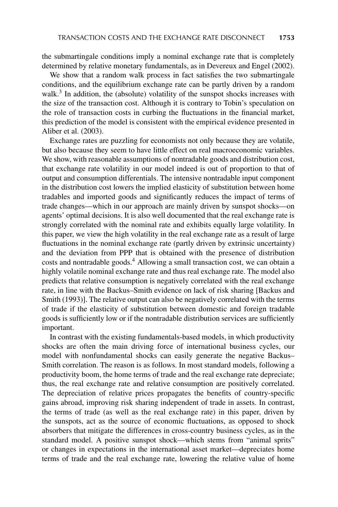the submartingale conditions imply a nominal exchange rate that is completely determined by relative monetary fundamentals, as in Devereux and Engel (2002).

We show that a random walk process in fact satisfies the two submartingale conditions, and the equilibrium exchange rate can be partly driven by a random walk.<sup>3</sup> In addition, the (absolute) volatility of the sunspot shocks increases with the size of the transaction cost. Although it is contrary to Tobin's speculation on the role of transaction costs in curbing the fluctuations in the financial market, this prediction of the model is consistent with the empirical evidence presented in Aliber et al. (2003).

Exchange rates are puzzling for economists not only because they are volatile, but also because they seem to have little effect on real macroeconomic variables. We show, with reasonable assumptions of nontradable goods and distribution cost, that exchange rate volatility in our model indeed is out of proportion to that of output and consumption differentials. The intensive nontradable input component in the distribution cost lowers the implied elasticity of substitution between home tradables and imported goods and significantly reduces the impact of terms of trade changes—which in our approach are mainly driven by sunspot shocks—on agents' optimal decisions. It is also well documented that the real exchange rate is strongly correlated with the nominal rate and exhibits equally large volatility. In this paper, we view the high volatility in the real exchange rate as a result of large fluctuations in the nominal exchange rate (partly driven by extrinsic uncertainty) and the deviation from PPP that is obtained with the presence of distribution costs and nontradable goods.<sup>4</sup> Allowing a small transaction cost, we can obtain a highly volatile nominal exchange rate and thus real exchange rate. The model also predicts that relative consumption is negatively correlated with the real exchange rate, in line with the Backus–Smith evidence on lack of risk sharing [Backus and Smith (1993)]. The relative output can also be negatively correlated with the terms of trade if the elasticity of substitution between domestic and foreign tradable goods is sufficiently low or if the nontradable distribution services are sufficiently important.

In contrast with the existing fundamentals-based models, in which productivity shocks are often the main driving force of international business cycles, our model with nonfundamental shocks can easily generate the negative Backus– Smith correlation. The reason is as follows. In most standard models, following a productivity boom, the home terms of trade and the real exchange rate depreciate; thus, the real exchange rate and relative consumption are positively correlated. The depreciation of relative prices propagates the benefits of country-specific gains abroad, improving risk sharing independent of trade in assets. In contrast, the terms of trade (as well as the real exchange rate) in this paper, driven by the sunspots, act as the source of economic fluctuations, as opposed to shock absorbers that mitigate the differences in cross-country business cycles, as in the standard model. A positive sunspot shock—which stems from "animal sprits" or changes in expectations in the international asset market—depreciates home terms of trade and the real exchange rate, lowering the relative value of home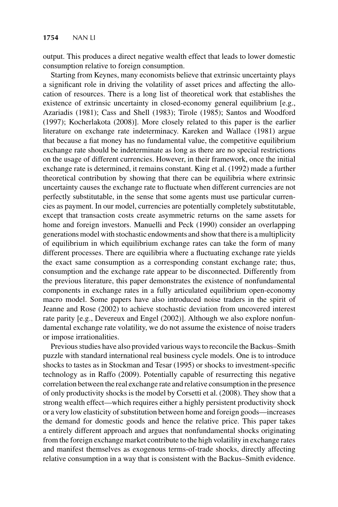output. This produces a direct negative wealth effect that leads to lower domestic consumption relative to foreign consumption.

Starting from Keynes, many economists believe that extrinsic uncertainty plays a significant role in driving the volatility of asset prices and affecting the allocation of resources. There is a long list of theoretical work that establishes the existence of extrinsic uncertainty in closed-economy general equilibrium [e.g., Azariadis (1981); Cass and Shell (1983); Tirole (1985); Santos and Woodford (1997); Kocherlakota (2008)]. More closely related to this paper is the earlier literature on exchange rate indeterminacy. Kareken and Wallace (1981) argue that because a fiat money has no fundamental value, the competitive equilibrium exchange rate should be indeterminate as long as there are no special restrictions on the usage of different currencies. However, in their framework, once the initial exchange rate is determined, it remains constant. King et al. (1992) made a further theoretical contribution by showing that there can be equilibria where extrinsic uncertainty causes the exchange rate to fluctuate when different currencies are not perfectly substitutable, in the sense that some agents must use particular currencies as payment. In our model, currencies are potentially completely substitutable, except that transaction costs create asymmetric returns on the same assets for home and foreign investors. Manuelli and Peck (1990) consider an overlapping generations model with stochastic endowments and show that there is a multiplicity of equilibrium in which equilibrium exchange rates can take the form of many different processes. There are equilibria where a fluctuating exchange rate yields the exact same consumption as a corresponding constant exchange rate; thus, consumption and the exchange rate appear to be disconnected. Differently from the previous literature, this paper demonstrates the existence of nonfundamental components in exchange rates in a fully articulated equilibrium open-economy macro model. Some papers have also introduced noise traders in the spirit of Jeanne and Rose (2002) to achieve stochastic deviation from uncovered interest rate parity [e.g., Devereux and Engel (2002)]. Although we also explore nonfundamental exchange rate volatility, we do not assume the existence of noise traders or impose irrationalities.

Previous studies have also provided various ways to reconcile the Backus–Smith puzzle with standard international real business cycle models. One is to introduce shocks to tastes as in Stockman and Tesar (1995) or shocks to investment-specific technology as in Raffo (2009). Potentially capable of resurrecting this negative correlation between the real exchange rate and relative consumption in the presence of only productivity shocks is the model by Corsetti et al. (2008). They show that a strong wealth effect—which requires either a highly persistent productivity shock or a very low elasticity of substitution between home and foreign goods—increases the demand for domestic goods and hence the relative price. This paper takes a entirely different approach and argues that nonfundamental shocks originating from the foreign exchange market contribute to the high volatility in exchange rates and manifest themselves as exogenous terms-of-trade shocks, directly affecting relative consumption in a way that is consistent with the Backus–Smith evidence.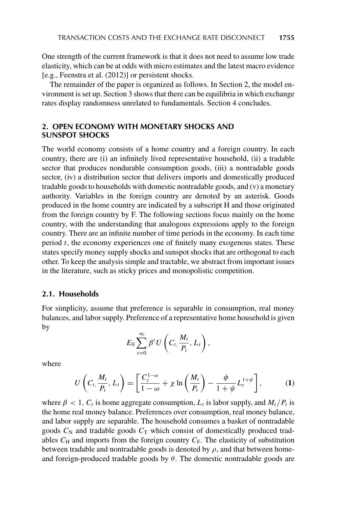One strength of the current framework is that it does not need to assume low trade elasticity, which can be at odds with micro estimates and the latest macro evidence [e.g., Feenstra et al. (2012)] or persistent shocks.

The remainder of the paper is organized as follows. In Section 2, the model environment is set up. Section 3 shows that there can be equilibria in which exchange rates display randomness unrelated to fundamentals. Section 4 concludes.

# **2. OPEN ECONOMY WITH MONETARY SHOCKS AND SUNSPOT SHOCKS**

The world economy consists of a home country and a foreign country. In each country, there are (i) an infinitely lived representative household, (ii) a tradable sector that produces nondurable consumption goods, (iii) a nontradable goods sector, (iv) a distribution sector that delivers imports and domestically produced tradable goods to households with domestic nontradable goods, and (v) a monetary authority. Variables in the foreign country are denoted by an asterisk. Goods produced in the home country are indicated by a subscript H and those originated from the foreign country by F. The following sections focus mainly on the home country, with the understanding that analogous expressions apply to the foreign country. There are an infinite number of time periods in the economy. In each time period  $t$ , the economy experiences one of finitely many exogenous states. These states specify money supply shocks and sunspot shocks that are orthogonal to each other. To keep the analysis simple and tractable, we abstract from important issues in the literature, such as sticky prices and monopolistic competition.

## **2.1. Households**

For simplicity, assume that preference is separable in consumption, real money balances, and labor supply. Preference of a representative home household is given by

$$
E_0\sum_{t=0}^{\infty}\beta^t U\left(C_t,\frac{M_t}{P_t},L_t\right),\,
$$

where

$$
U\left(C_t, \frac{M_t}{P_t}, L_t\right) = \left[\frac{C_t^{1-\omega}}{1-\omega} + \chi \ln\left(\frac{M_t}{P_t}\right) - \frac{\phi}{1+\psi}L_t^{1+\psi}\right],\tag{1}
$$

where  $\beta < 1$ ,  $C_t$  is home aggregate consumption,  $L_t$  is labor supply, and  $M_t/P_t$  is the home real money balance. Preferences over consumption, real money balance, and labor supply are separable. The household consumes a basket of nontradable goods  $C_N$  and tradable goods  $C_T$  which consist of domestically produced tradables  $C_H$  and imports from the foreign country  $C_F$ . The elasticity of substitution between tradable and nontradable goods is denoted by  $\rho$ , and that between homeand foreign-produced tradable goods by  $\theta$ . The domestic nontradable goods are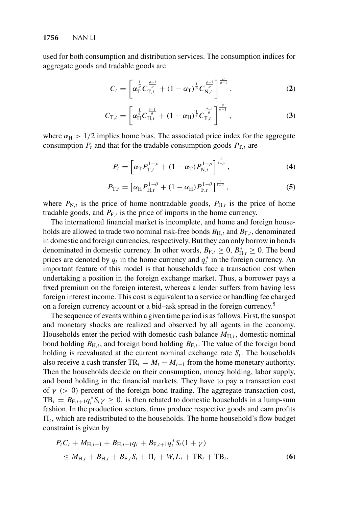used for both consumption and distribution services. The consumption indices for aggregate goods and tradable goods are

$$
C_t = \left[ \alpha_{\rm T}^{\frac{1}{\rho}} C_{\rm T,t}^{\frac{\rho-1}{\rho}} + (1 - \alpha_{\rm T})^{\frac{1}{\rho}} C_{\rm N,t}^{\frac{\rho-1}{\rho}} \right]^{\frac{\rho}{\rho-1}}, \tag{2}
$$

$$
C_{\mathrm{T},t} = \left[ \alpha_{\mathrm{H}}^{\frac{1}{\theta}} C_{\mathrm{H},t}^{\frac{\theta-1}{\theta}} + (1 - \alpha_{\mathrm{H}})^{\frac{1}{\theta}} C_{\mathrm{F},t}^{\frac{\theta-1}{\theta}} \right]^{\frac{\theta}{\theta-1}}, \tag{3}
$$

where  $\alpha_H > 1/2$  implies home bias. The associated price index for the aggregate consumption  $P_t$  and that for the tradable consumption goods  $P_{T,t}$  are

$$
P_t = \left[ \alpha_{\rm T} P_{\rm T,t}^{1-\rho} + (1-\alpha_{\rm T}) P_{\rm N,t}^{1-\rho} \right]^{\frac{1}{1-\rho}}, \qquad (4)
$$

$$
P_{\mathrm{T},t} = \left[ \alpha_{\mathrm{H}} P_{\mathrm{H},t}^{1-\theta} + (1 - \alpha_{\mathrm{H}}) P_{\mathrm{F},t}^{1-\theta} \right]^{\frac{1}{1-\theta}},\tag{5}
$$

where  $P_{N,t}$  is the price of home nontradable goods,  $P_{H,t}$  is the price of home tradable goods, and  $P_{F,t}$  is the price of imports in the home currency.

The international financial market is incomplete, and home and foreign households are allowed to trade two nominal risk-free bonds  $B_{H,t}$  and  $B_{F,t}$ , denominated in domestic and foreign currencies, respectively. But they can only borrow in bonds denominated in domestic currency. In other words,  $B_{F,t} \ge 0$ ,  $B_{H,t}^* \ge 0$ . The bond<br>prices are denoted by a, in the home currency and  $a^*$  in the foreign currency. An prices are denoted by  $q_t$  in the home currency and  $q_t^*$  in the foreign currency. An important feature of this model is that households face a transaction cost when important feature of this model is that households face a transaction cost when undertaking a position in the foreign exchange market. Thus, a borrower pays a fixed premium on the foreign interest, whereas a lender suffers from having less foreign interest income. This cost is equivalent to a service or handling fee charged on a foreign currency account or a bid–ask spread in the foreign currency.5

The sequence of events within a given time period is as follows. First, the sunspot and monetary shocks are realized and observed by all agents in the economy. Households enter the period with domestic cash balance  $M_{H,t}$ , domestic nominal bond holding  $B_{H,t}$ , and foreign bond holding  $B_{F,t}$ . The value of the foreign bond holding is reevaluated at the current nominal exchange rate  $S_t$ . The households also receive a cash transfer  $TR_t = M_t - M_{t-1}$  from the home monetary authority. Then the households decide on their consumption, money holding, labor supply, and bond holding in the financial markets. They have to pay a transaction cost of  $\gamma$  ( $> 0$ ) percent of the foreign bond trading. The aggregate transaction cost,  $TB_t = B_{F,t+1}q_t^* S_t \gamma \geq 0$ , is then rebated to domestic households in a lump-sum fashion. In the production sectors firms produce respective goods and earn profits fashion. In the production sectors, firms produce respective goods and earn profits  $\Pi_t$ , which are redistributed to the households. The home household's flow budget constraint is given by

$$
P_t C_t + M_{H,t+1} + B_{H,t+1} q_t + B_{F,t+1} q_t^* S_t (1 + \gamma)
$$
  
\n
$$
\leq M_{H,t} + B_{H,t} + B_{F,t} S_t + \Pi_t + W_t L_t + \text{TR}_t + \text{TB}_t.
$$
 (6)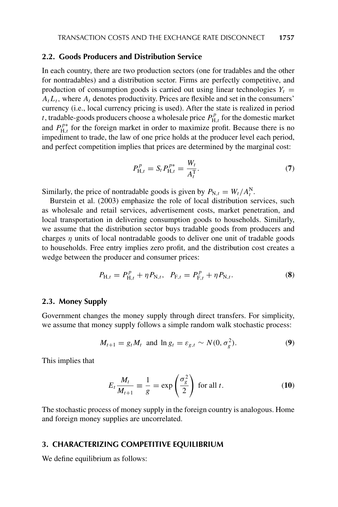## **2.2. Goods Producers and Distribution Service**

In each country, there are two production sectors (one for tradables and the other for nontradables) and a distribution sector. Firms are perfectly competitive, and production of consumption goods is carried out using linear technologies  $Y_t$  =  $A_t L_t$ , where  $A_t$  denotes productivity. Prices are flexible and set in the consumers' currency (i.e., local currency pricing is used). After the state is realized in period t, tradable-goods producers choose a wholesale price  $P_{H,t}^p$  for the domestic market<br>and  $P_{h}^{p*}$  for the foreign market in order to maximize profit. Because there is no and  $P_{H,t}^{p*}$  for the foreign market in order to maximize profit. Because there is no<br>impediment to trade, the law of one price holds at the producer level each period. impediment to trade, the law of one price holds at the producer level each period, and perfect competition implies that prices are determined by the marginal cost:

$$
P_{\mathrm{H},t}^{p} = S_{t} P_{\mathrm{H},t}^{p*} = \frac{W_{t}}{A_{t}^{\mathrm{T}}}.
$$
\n(7)

Similarly, the price of nontradable goods is given by  $P_{N,t} = W_t/A_N^N$ .<br>Burstein et al. (2003) emphasize the role of local distribution set

Burstein et al. (2003) emphasize the role of local distribution services, such as wholesale and retail services, advertisement costs, market penetration, and local transportation in delivering consumption goods to households. Similarly, we assume that the distribution sector buys tradable goods from producers and charges  $\eta$  units of local nontradable goods to deliver one unit of tradable goods to households. Free entry implies zero profit, and the distribution cost creates a wedge between the producer and consumer prices:

$$
P_{\mathrm{H},t} = P_{\mathrm{H},t}^p + \eta P_{\mathrm{N},t}, \quad P_{\mathrm{F},t} = P_{\mathrm{F},t}^p + \eta P_{\mathrm{N},t}.
$$
 (8)

## **2.3. Money Supply**

Government changes the money supply through direct transfers. For simplicity, we assume that money supply follows a simple random walk stochastic process:

$$
M_{t+1} = g_t M_t \text{ and } \ln g_t = \varepsilon_{g,t} \sim N(0, \sigma_g^2). \tag{9}
$$

This implies that

$$
E_t \frac{M_t}{M_{t+1}} \equiv \frac{1}{g} = \exp\left(\frac{\sigma_g^2}{2}\right) \text{ for all } t.
$$
 (10)

The stochastic process of money supply in the foreign country is analogous. Home and foreign money supplies are uncorrelated.

## **3. CHARACTERIZING COMPETITIVE EQUILIBRIUM**

We define equilibrium as follows: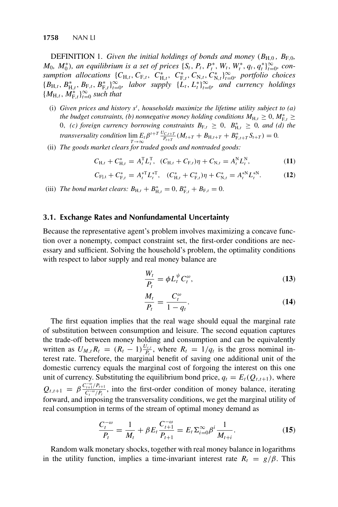**DEFINITION** 1. *Given the initial holdings of bonds and money* ( $B_{H,0}$ ,  $B_{F,0}$ ,  $M_0$ ,  $M_0^*$ ), an equilibrium is a set of prices  $\{S_t, P_t, P_t^*, W_t, W_t^*, q_t, q_t^*\}_{\infty}^{\infty}$ , con-<br>sumption allocations  $\{C_t, C_t^*, C_t^*, C_t^*, C_t^*, W_t^*, q_t, q_t^*\}_{\infty}^{\infty}$ , choices *sumption allocations*  ${C_{H,t}, C_{F,t}, C_{H,t}^*, C_{N,t}^*, C_{N,t}^*, C_{N,t}^*}$  *portfolio choices*<br> ${L}$  ${B_{H,t}, B_{H,t}, B_{F,t}, B_{F,t}^* \}_{n=0}^{\infty}$ , *labor supply*  ${\{\tilde{L}_t, L_t^* \}_{t=0}^{\infty}}$ , *and currency holdings*  ${M_{H,t}, M_{F,t}^*}$ <sup>2</sup> $\sum_{t=0}^{\infty}$  *such that* 

- (i) Given prices and history  $s^t$ , households maximize the lifetime utility subject to (a) the hydnet constraints (b) nonnegative money holding conditions  $M_t$ ,  $> 0$ ,  $M^*$ ,  $>$ *the budget constraints, (b) nonnegative money holding conditions*  $M_{H,t} \geq 0$ ,  $M_{F,t}^* \geq 0$ ,  $M_{F,t}^* \geq 0$ ,  $M_{F,t}^* \geq 0$ ,  $M_{F,t}^* \geq 0$ ,  $M_{F,t}^* \geq 0$ ,  $M_{F,t}^* \geq 0$ ,  $M_{F,t}^* \geq 0$ ,  $M_{F,t}^* \geq 0$ ,  $M_{F,t}^* \geq$ 0, *(c) foreign currency borrowing constraints*  $B_{F,t} \ge 0$ ,  $B_{1,t}^* \ge 0$ , and *(d) the transversality condition*  $\lim_{T \to \infty} E_t \beta^{t+T} \frac{U_{C,t+T}}{P_{t+T}} (M_{t+T} + B_{H,t+T} + B_{F,t+T}^* S_{t+T}) = 0.$ <br>The goods market clears for traded goods and nontraded goods:
- (ii) *The goods market clears for traded goods and nontraded goods:*

$$
C_{H,t} + C_{H,t}^* = A_t^T L_t^T, \quad (C_{H,t} + C_{F,t})\eta + C_{N,t} = A_t^N L_t^N,
$$
 (11)

$$
C_{\mathrm{F},t} + C_{\mathrm{F},t}^{*} = A_{t}^{*T} L_{t}^{*T}, \quad (C_{\mathrm{H},t}^{*} + C_{\mathrm{F},t}^{*})\eta + C_{\mathrm{N},t}^{*} = A_{t}^{*N} L_{t}^{*N}.
$$
 (12)

(iii) *The bond market clears:*  $B_{H,t} + B_{H,t}^* = 0$ ,  $B_{F,t}^* + B_{F,t} = 0$ .

## **3.1. Exchange Rates and Nonfundamental Uncertainty**

Because the representative agent's problem involves maximizing a concave function over a nonempty, compact constraint set, the first-order conditions are necessary and sufficient. Solving the household's problem, the optimality conditions with respect to labor supply and real money balance are

$$
\frac{W_t}{P_t} = \phi L_t^{\psi} C_t^{\omega},\tag{13}
$$

$$
\frac{M_t}{P_t} = \frac{C_t^{\omega}}{1 - q_t}.
$$
\n(14)

The first equation implies that the real wage should equal the marginal rate of substitution between consumption and leisure. The second equation captures the trade-off between money holding and consumption and can be equivalently written as  $U_{M,t}R_t = (R_t - 1)\frac{U_{c,t}}{P_t}$ , where  $R_t = 1/q_t$  is the gross nominal in-<br>terest rate. Therefore, the marginal benefit of saving one additional unit of the terest rate. Therefore, the marginal benefit of saving one additional unit of the domestic currency equals the marginal cost of forgoing the interest on this one unit of currency. Substituting the equilibrium bond price,  $q_t = E_t(Q_{t,t+1})$ , where  $Q_{t,t+1} = \beta \frac{C_{t+1}^{-\omega}/P_{t+1}}{C_{t}^{-\omega}/P_{t}}$ , into the first-order condition of money balance, iterating<br>forward and imposing the transversality conditions, we get the marginal utility of forward, and imposing the transversality conditions, we get the marginal utility of real consumption in terms of the stream of optimal money demand as

$$
\frac{C_t^{-\omega}}{P_t} = \frac{1}{M_t} + \beta E_t \frac{C_{t+1}^{-\omega}}{P_{t+1}} = E_t \Sigma_{i=0}^{\infty} \beta^i \frac{1}{M_{t+i}}.
$$
\n(15)

Random walk monetary shocks, together with real money balance in logarithms in the utility function, implies a time-invariant interest rate  $R_t = g/\beta$ . This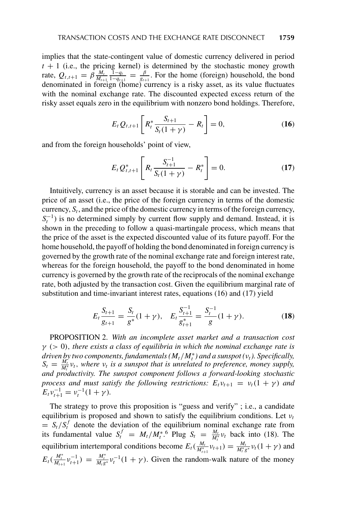implies that the state-contingent value of domestic currency delivered in period  $t + 1$  (i.e., the pricing kernel) is determined by the stochastic money growth rate  $Q_{\text{max}} = \beta \frac{M_t}{r} \frac{1 - q_t}{r} = \beta$ . For the home (foreign) bousehold, the bond rate,  $Q_{t,t+1} = \beta \frac{M_t}{M_{t+1}}$ <br>denominated in form  $\frac{1-q_t}{1-q_{t+1}} = \frac{\beta}{g_{t+1}}$ . For the home (foreign) household, the bond denominated in foreign (home) currency is a risky asset, as its value fluctuates with the nominal exchange rate. The discounted expected excess return of the risky asset equals zero in the equilibrium with nonzero bond holdings. Therefore,

$$
E_t Q_{t,t+1} \left[ R_t^* \frac{S_{t+1}}{S_t (1+\gamma)} - R_t \right] = 0, \tag{16}
$$

and from the foreign households' point of view,

$$
E_t Q_{t,t+1}^* \left[ R_t \frac{S_{t+1}^{-1}}{S_t (1+\gamma)} - R_t^* \right] = 0.
$$
 (17)

Intuitively, currency is an asset because it is storable and can be invested. The price of an asset (i.e., the price of the foreign currency in terms of the domestic currency,  $S_t$ , and the price of the domestic currency in terms of the foreign currency,  $S_t^{-1}$ ) is no determined simply by current flow supply and demand. Instead, it is<br>shown in the preceding to follow a quasi-martingale process, which means that shown in the preceding to follow a quasi-martingale process, which means that the price of the asset is the expected discounted value of its future payoff. For the home household, the payoff of holding the bond denominated in foreign currency is governed by the growth rate of the nominal exchange rate and foreign interest rate, whereas for the foreign household, the payoff to the bond denominated in home currency is governed by the growth rate of the reciprocals of the nominal exchange rate, both adjusted by the transaction cost. Given the equilibrium marginal rate of substitution and time-invariant interest rates, equations (16) and (17) yield

$$
E_t \frac{S_{t+1}}{g_{t+1}} = \frac{S_t}{g^*} (1 + \gamma), \quad E_t \frac{S_{t+1}^{-1}}{g_{t+1}^*} = \frac{S_t^{-1}}{g} (1 + \gamma).
$$
 (18)

PROPOSITION 2. *With an incomplete asset market and a transaction cost* γ (> <sup>0</sup>), *there exists a class of equilibria in which the nominal exchange rate is driven by two components, fundamentals*  $(M_t/M_t^*)$  *and a sunspot (v<sub>t</sub>). Specifically,*  $S_t = \frac{M_t}{l} v_t$ *, where v<sub>t</sub> is a sunspot that is unrelated to preference, money supply*  $S_t = \frac{M_t}{M_t^*} v_t$ , where  $v_t$  is a sunspot that is unrelated to preference, money supply,<br>and productivity. The supspot component follows a forward-looking stochastic and productivity. The sunspot component follows a forward-looking stochastic *process and must satisfy the following restrictions:*  $E_t v_{t+1} = v_t(1 + \gamma)$  *and*  $E_t v_{t+1}^{-1} = v_t^{-1} (1 + \gamma).$ 

The strategy to prove this proposition is "guess and verify" ; i.e., a candidate equilibrium is proposed and shown to satisfy the equilibrium conditions. Let  $v_t$  $S_t/S_t^J$  denote the deviation of the equilibrium nominal exchange rate from<br>its fundamental value  $S_t^f = M/M^*$  Plug  $S = \frac{M_t}{M}$  hack into (18). The its fundamental value  $S_t^f = M_t/M_t^{*,6}$  Plug  $S_t = \frac{M_t}{M_t^*} v_t$  back into (18). The equilibrium intertemporal conditions become  $E_t(\frac{M_t}{M_{t+1}^*}v_{t+1}) = \frac{M_t}{M_t^*g^*}v_t(1+\gamma)$  and  $E_t(\frac{M_t^*}{M_{t+1}}v_{t+1}^{-1}) = \frac{M_t^*}{M_t g^*}v_t^{-1}(1+\gamma)$ . Given the random  $\frac{M_t^*}{M_{t+1}}v_{t+1}^{-1}$  =  $\frac{M_t^*}{M_t g}$  $\frac{M_t^*}{M_t g^*} v_t^{-1} (1 + \gamma)$ . Given the random-walk nature of the money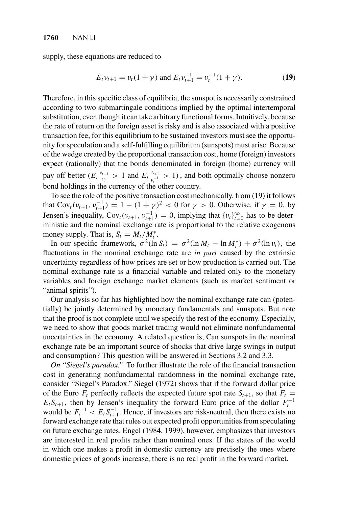supply, these equations are reduced to

$$
E_t v_{t+1} = v_t (1 + \gamma) \text{ and } E_t v_{t+1}^{-1} = v_t^{-1} (1 + \gamma). \tag{19}
$$

Therefore, in this specific class of equilibria, the sunspot is necessarily constrained according to two submartingale conditions implied by the optimal intertemporal substitution, even though it can take arbitrary functional forms. Intuitively, because the rate of return on the foreign asset is risky and is also associated with a positive transaction fee, for this equilibrium to be sustained investors must see the opportunity for speculation and a self-fulfilling equilibrium (sunspots) must arise. Because of the wedge created by the proportional transaction cost, home (foreign) investors expect (rationally) that the bonds denominated in foreign (home) currency will pay off better  $(E_t \frac{v_{t+1}}{v_t} > 1$  and  $E_t \frac{v_{t+1}^{-1}}{v_t^{-1}} > 1$ ), and both optimally choose nonzero bond holdings in the currency of the other country.

To see the role of the positive transaction cost mechanically, from (19) it follows that  $\text{Cov}_t(v_{t+1}, v_{t+1}^{-1}) = 1 - (1 + \gamma)^2 < 0$  for  $\gamma > 0$ . Otherwise, if  $\gamma = 0$ , by Jensen's inequality,  $Cov_t(v_{t+1}, v_{t+1}^{-1}) = 0$ , implying that  $\{v_t\}_{t=0}^{\infty}$  has to be deter-<br>ministic and the nominal exchange rate is proportional to the relative exogenous ministic and the nominal exchange rate is proportional to the relative exogenous money supply. That is,  $S_t = M_t/M_t^*$ .

In our specific framework,  $\sigma^2(\ln S_t) = \sigma^2(\ln M_t - \ln M_t^*) + \sigma^2(\ln \nu_t)$ , the<br>ctuations in the nominal exchange rate are *in part* caused by the extrinsic fluctuations in the nominal exchange rate are *in part* caused by the extrinsic uncertainty regardless of how prices are set or how production is carried out. The nominal exchange rate is a financial variable and related only to the monetary variables and foreign exchange market elements (such as market sentiment or "animal spirits").

Our analysis so far has highlighted how the nominal exchange rate can (potentially) be jointly determined by monetary fundamentals and sunspots. But note that the proof is not complete until we specify the rest of the economy. Especially, we need to show that goods market trading would not eliminate nonfundamental uncertainties in the economy. A related question is, Can sunspots in the nominal exchange rate be an important source of shocks that drive large swings in output and consumption? This question will be answered in Sections 3.2 and 3.3.

*On "Siegel's paradox."* To further illustrate the role of the financial transaction cost in generating nonfundamental randomness in the nominal exchange rate, consider "Siegel's Paradox." Siegel (1972) shows that if the forward dollar price of the Euro  $F_t$  perfectly reflects the expected future spot rate  $S_{t+1}$ , so that  $F_t =$  $E_t S_{t+1}$ , then by Jensen's inequality the forward Euro price of the dollar  $F_t^{-1}$ would be  $F_t^{-1} < E_t S_{t+1}^{-1}$ . Hence, if investors are risk-neutral, then there exists no<br>forward exchange rate that rules out expected profit opportunities from speculating forward exchange rate that rules out expected profit opportunities from speculating on future exchange rates. Engel (1984, 1999), however, emphasizes that investors are interested in real profits rather than nominal ones. If the states of the world in which one makes a profit in domestic currency are precisely the ones where domestic prices of goods increase, there is no real profit in the forward market.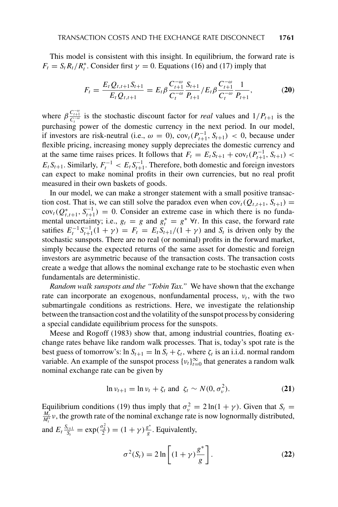This model is consistent with this insight. In equilibrium, the forward rate is  $F_t = S_t R_t / R_t^*$ . Consider first  $\gamma = 0$ . Equations (16) and (17) imply that

$$
F_t = \frac{E_t Q_{t,t+1} S_{t+1}}{E_t Q_{t,t+1}} = E_t \beta \frac{C_{t+1}^{-\omega}}{C_t^{-\omega}} \frac{S_{t+1}}{P_{t+1}} / E_t \beta \frac{C_{t+1}^{-\omega}}{C_t^{-\omega}} \frac{1}{P_{t+1}},
$$
(20)

where  $\beta \frac{C_{t+1}^{-\omega}}{C_{t}}$  is the stochastic discount factor for *real* values and  $1/P_{t+1}$  is the where  $\rho \frac{C_t}{C_t}$  is the stochastic discount ractor for *real* values and 1/  $r_{t+1}$  is the purchasing power of the domestic currency in the next period. In our model, if investors are risk-neutral (i.e.,  $\omega = 0$ ),  $cov_t(P_{t+1}^{-1}, S_{t+1}) < 0$ , because under<br>flexible pricing, increasing money supply depreciates the domestic currency and flexible pricing, increasing money supply depreciates the domestic currency and at the same time raises prices. It follows that  $F_t = E_t S_{t+1} + \text{cov}_t(P_{t+1}^{-1}, S_{t+1}) <$ <br> $F_s$ . Similarly,  $F_{t+1} \geq F_s C^{-1}$ . Therefore, both democits and foreign invectors  $E_t S_{t+1}$ . Similarly,  $F_t^{-1} < E_t S_{t+1}^{-1}$ . Therefore, both domestic and foreign investors can expect to make nominal profits in their own currencies, but no real profit can expect to make nominal profits in their own currencies, but no real profit measured in their own baskets of goods.

In our model, we can make a stronger statement with a small positive transaction cost. That is, we can still solve the paradox even when  $cov_t(Q_{t,t+1}, S_{t+1}) =$  $\text{cov}_t(Q_{t,t+1}^*, S_{t+1}^{-1}) = 0$ . Consider an extreme case in which there is no funda-<br>mental uncertainty: i.e.,  $a = a$  and  $a^* = a^*$  yt. In this case, the forward rate mental uncertainty; i.e.,  $g_t = g$  and  $g_t^* = g^* \forall t$ . In this case, the forward rate<br>satifies  $F^{-1}S^{-1}(1 + y) = F - F S$ .  $y(t) + y$  and S is driven only by the satifies  $E_t^{-1} S_{t+1}^{-1}(1 + \gamma) = F_t = E_t S_{t+1}/(1 + \gamma)$  and  $S_t$  is driven only by the stochastic supports. There are no real (or nominal) profits in the forward market stochastic sunspots. There are no real (or nominal) profits in the forward market, simply because the expected returns of the same asset for domestic and foreign investors are asymmetric because of the transaction costs. The transaction costs create a wedge that allows the nominal exchange rate to be stochastic even when fundamentals are deterministic.

*Random walk sunspots and the "Tobin Tax."* We have shown that the exchange rate can incorporate an exogenous, nonfundamental process,  $v_t$ , with the two submartingale conditions as restrictions. Here, we investigate the relationship between the transaction cost and the volatility of the sunspot process by considering a special candidate equilibrium process for the sunspots.

Meese and Rogoff (1983) show that, among industrial countries, floating exchange rates behave like random walk processes. That is, today's spot rate is the best guess of tomorrow's:  $\ln S_{t+1} = \ln S_t + \zeta_t$ , where  $\zeta_t$  is an i.i.d. normal random variable. An example of the sunspot process  $\{v_t\}_{t=0}^{\infty}$  that generates a random walk<br>nominal exchange rate can be given by nominal exchange rate can be given by

$$
\ln \nu_{t+1} = \ln \nu_t + \zeta_t \text{ and } \zeta_t \sim N(0, \sigma_v^2). \tag{21}
$$

Equilibrium conditions (19) thus imply that  $\sigma_{\nu}^2 = 2 \ln(1 + \gamma)$ . Given that  $S_t =$ Equilibrium conditions (19) thus imply that  $\sigma_v^2 = 2 \ln(1 + \gamma)$ . Given that  $S_t = \frac{M_t}{M_t^*} v$ , the growth rate of the nominal exchange rate is now lognormally distributed, and  $E_t \frac{S_{t+1}}{S_t} = \exp(\frac{\sigma_S^2}{2}) = (1 + \gamma) \frac{g^*}{g}$ . Equivalently,

$$
\sigma^{2}(S_{t}) = 2 \ln \left[ (1 + \gamma) \frac{g^{*}}{g} \right].
$$
 (22)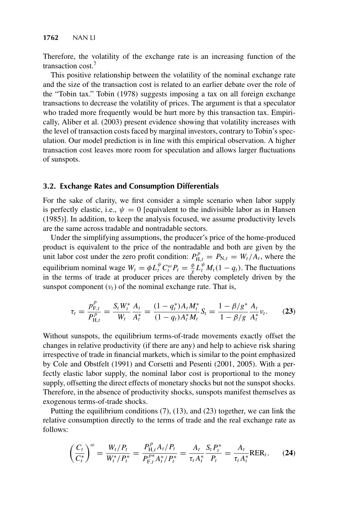Therefore, the volatility of the exchange rate is an increasing function of the transaction cost.<sup>7</sup>

This positive relationship between the volatility of the nominal exchange rate and the size of the transaction cost is related to an earlier debate over the role of the "Tobin tax." Tobin (1978) suggests imposing a tax on all foreign exchange transactions to decrease the volatility of prices. The argument is that a speculator who traded more frequently would be hurt more by this transaction tax. Empirically, Aliber et al. (2003) present evidence showing that volatility increases with the level of transaction costs faced by marginal investors, contrary to Tobin's speculation. Our model prediction is in line with this empirical observation. A higher transaction cost leaves more room for speculation and allows larger fluctuations of sunspots.

# **3.2. Exchange Rates and Consumption Differentials**

For the sake of clarity, we first consider a simple scenario when labor supply is perfectly elastic, i.e.,  $\psi = 0$  [equivalent to the indivisible labor as in Hansen (1985)]. In addition, to keep the analysis focused, we assume productivity levels are the same across tradable and nontradable sectors.

Under the simplifying assumptions, the producer's price of the home-produced product is equivalent to the price of the nontradable and both are given by the unit labor cost under the zero profit condition:  $P_{H,t}^p = P_{N,t} = W_t/A_t$ , where the equilibrium nominal wage  $W_t = \phi L_t^{\psi} C_t^{\omega} P_t = \frac{\phi}{\chi} L_t^{\psi} M_t (1 - q_t)$ . The fluctuations in the terms of trade at producer prices are thereby completely driven by the equinorium nominal wage  $w_t = \varphi L_i$   $C_i^T P_t = \frac{1}{\chi} L_i^T M_t (1 - q_t)$ . The includions in the terms of trade at producer prices are thereby completely driven by the sunspot component  $(v_t)$  of the nominal exchange rate. That is,

$$
\tau_t = \frac{p_{F,t}^p}{P_{H,t}^p} = \frac{S_t W_t^*}{W_t} \frac{A_t}{A_t^*} = \frac{(1 - q_t^*) A_t M_t^*}{(1 - q_t) A_t^* M_t} S_t = \frac{1 - \beta/g^*}{1 - \beta/g} \frac{A_t}{A_t^*} v_t.
$$
 (23)

Without sunspots, the equilibrium terms-of-trade movements exactly offset the changes in relative productivity (if there are any) and help to achieve risk sharing irrespective of trade in financial markets, which is similar to the point emphasized by Cole and Obstfelt (1991) and Corsetti and Pesenti (2001, 2005). With a perfectly elastic labor supply, the nominal labor cost is proportional to the money supply, offsetting the direct effects of monetary shocks but not the sunspot shocks. Therefore, in the absence of productivity shocks, sunspots manifest themselves as exogenous terms-of-trade shocks.

Putting the equilibrium conditions (7), (13), and (23) together, we can link the relative consumption directly to the terms of trade and the real exchange rate as follows:

$$
\left(\frac{C_t}{C_t^*}\right)^{\omega} = \frac{W_t/P_t}{W_t^*/P_t^*} = \frac{P_{H,t}^p A_t/P_t}{P_{F,t}^{p*} A_t^*/P_t^*} = \frac{A_t}{\tau_t A_t^*} \frac{S_t P_t^*}{P_t} = \frac{A_t}{\tau_t A_t^*} R E R_t.
$$
 (24)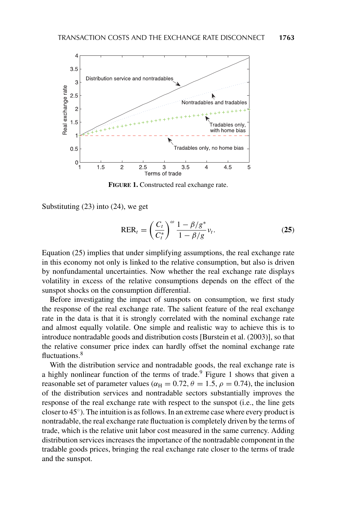

**FIGURE 1.** Constructed real exchange rate.

Substituting (23) into (24), we get

$$
RER_t = \left(\frac{C_t}{C_t^*}\right)^{\omega} \frac{1 - \beta/g^*}{1 - \beta/g} v_t.
$$
 (25)

Equation (25) implies that under simplifying assumptions, the real exchange rate in this economy not only is linked to the relative consumption, but also is driven by nonfundamental uncertainties. Now whether the real exchange rate displays volatility in excess of the relative consumptions depends on the effect of the sunspot shocks on the consumption differential.

Before investigating the impact of sunspots on consumption, we first study the response of the real exchange rate. The salient feature of the real exchange rate in the data is that it is strongly correlated with the nominal exchange rate and almost equally volatile. One simple and realistic way to achieve this is to introduce nontradable goods and distribution costs [Burstein et al. (2003)], so that the relative consumer price index can hardly offset the nominal exchange rate fluctuations.<sup>8</sup>

With the distribution service and nontradable goods, the real exchange rate is a highly nonlinear function of the terms of trade.<sup>9</sup> Figure 1 shows that given a reasonable set of parameter values ( $\alpha_H = 0.72$ ,  $\theta = 1.5$ ,  $\rho = 0.74$ ), the inclusion of the distribution services and nontradable sectors substantially improves the response of the real exchange rate with respect to the sunspot (i.e., the line gets closer to  $45°$ ). The intuition is as follows. In an extreme case where every product is nontradable, the real exchange rate fluctuation is completely driven by the terms of trade, which is the relative unit labor cost measured in the same currency. Adding distribution services increases the importance of the nontradable component in the tradable goods prices, bringing the real exchange rate closer to the terms of trade and the sunspot.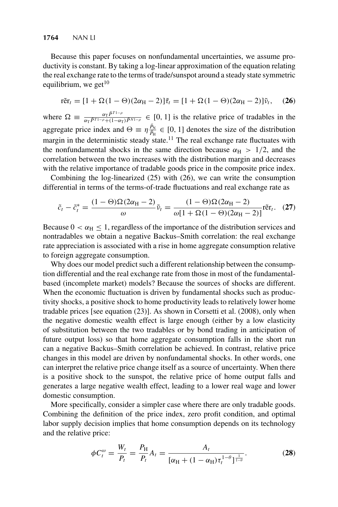### **1764** NAN LI

Because this paper focuses on nonfundamental uncertainties, we assume productivity is constant. By taking a log-linear approximation of the equation relating the real exchange rate to the terms of trade/sunspot around a steady state symmetric equilibrium, we get $^{10}$ 

$$
\tilde{\text{ref}}_t = [1 + \Omega(1 - \Theta)(2\alpha_{\text{H}} - 2)]\tilde{\tau}_t = [1 + \Omega(1 - \Theta)(2\alpha_{\text{H}} - 2)]\tilde{\nu}_t,\quad(26)
$$

where  $\Omega = \frac{\alpha_T \bar{p}^{T1-\rho}}{\alpha_T \bar{p}^{T1-\rho} + (1-\alpha_T) \bar{p}^{N1-\rho}} \in [0, 1]$  is the relative price of tradables in the aggregate price index and  $\Theta = \eta \frac{\bar{P}_{\rm N}}{\bar{P}_{\rm H}} \in [0, 1]$  denotes the size of the distribution aggregate price muck and  $\Theta = \eta \frac{1}{\beta_H} \in [0, 1]$  denotes the size of the distribution margin in the deterministic steady state.<sup>11</sup> The real exchange rate fluctuates with the nonfundamental shocks in the same direction because  $\alpha_H > 1/2$ , and the correlation between the two increases with the distribution margin and decreases with the relative importance of tradable goods price in the composite price index.

Combining the log-linearized (25) with (26), we can write the consumption differential in terms of the terms-of-trade fluctuations and real exchange rate as

$$
\tilde{c}_t - \tilde{c}_t^* = \frac{(1 - \Theta)\Omega(2\alpha_{\rm H} - 2)}{\omega} \tilde{\nu}_t = \frac{(1 - \Theta)\Omega(2\alpha_{\rm H} - 2)}{\omega[1 + \Omega(1 - \Theta)(2\alpha_{\rm H} - 2)]} \tilde{\rm ref}_t. \tag{27}
$$

Because  $0 < \alpha_H \le 1$ , regardless of the importance of the distribution services and nontradables we obtain a negative Backus–Smith correlation: the real exchange rate appreciation is associated with a rise in home aggregate consumption relative to foreign aggregate consumption.

Why does our model predict such a different relationship between the consumption differential and the real exchange rate from those in most of the fundamentalbased (incomplete market) models? Because the sources of shocks are different. When the economic fluctuation is driven by fundamental shocks such as productivity shocks, a positive shock to home productivity leads to relatively lower home tradable prices [see equation (23)]. As shown in Corsetti et al. (2008), only when the negative domestic wealth effect is large enough (either by a low elasticity of substitution between the two tradables or by bond trading in anticipation of future output loss) so that home aggregate consumption falls in the short run can a negative Backus–Smith correlation be achieved. In contrast, relative price changes in this model are driven by nonfundamental shocks. In other words, one can interpret the relative price change itself as a source of uncertainty. When there is a positive shock to the sunspot, the relative price of home output falls and generates a large negative wealth effect, leading to a lower real wage and lower domestic consumption.

More specifically, consider a simpler case where there are only tradable goods. Combining the definition of the price index, zero profit condition, and optimal labor supply decision implies that home consumption depends on its technology and the relative price:

$$
\phi C_t^{\omega} = \frac{W_t}{P_t} = \frac{P_H}{P_t} A_t = \frac{A_t}{[\alpha_H + (1 - \alpha_H)\tau_t^{1-\theta}]^{\frac{1}{1-\theta}}}.
$$
 (28)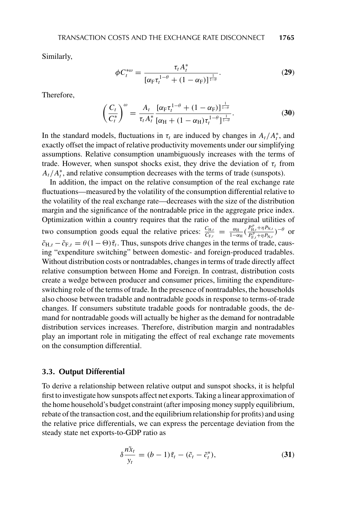Similarly,

$$
\phi C_t^{*\omega} = \frac{\tau_t A_t^*}{\left[\alpha_{\rm F} \tau_t^{1-\theta} + (1-\alpha_{\rm F})\right]^{\frac{1}{1-\theta}}}.
$$
\n(29)

Therefore,

$$
\left(\frac{C_t}{C_t^*}\right)^{\omega} = \frac{A_t}{\tau_t A_t^*} \frac{[\alpha_F \tau_t^{1-\theta} + (1 - \alpha_F)]^{\frac{1}{1-\theta}}}{[\alpha_H + (1 - \alpha_H) \tau_t^{1-\theta}]^{\frac{1}{1-\theta}}}.
$$
(30)

In the standard models, fluctuations in  $\tau_t$  are induced by changes in  $A_t/A_t^*$ , and exactly offset the impact of relative productivity movements under our simplifying exactly offset the impact of relative productivity movements under our simplifying assumptions. Relative consumption unambiguously increases with the terms of trade. However, when sunspot shocks exist, they drive the deviation of  $\tau_t$  from  $A_t/A_t^*$ , and relative consumption decreases with the terms of trade (sunspots).<br>In addition, the impact on the relative consumption of the real exchange r

In addition, the impact on the relative consumption of the real exchange rate fluctuations—measured by the volatility of the consumption differential relative to the volatility of the real exchange rate—decreases with the size of the distribution margin and the significance of the nontradable price in the aggregate price index. Optimization within a country requires that the ratio of the marginal utilities of two consumption goods equal the relative prices:  $\frac{C_{H,t}}{C_{F,t}} = \frac{\alpha_H}{1-\alpha_H}(\frac{P_{H,t}^p + \eta P_{N,t}}{P_{F,t}^p + \eta P_{N,t}})$  $\frac{P_{\mathrm{H},t}^{\mathrm{v}} + \eta P_{\mathrm{N},t}}{P_{\mathrm{F},t}^{\mathrm{p}} + \eta P_{\mathrm{N},t}}$ )<sup>- $\theta$ </sup> or  $\tilde{c}_{H,t} - \tilde{c}_{F,t} = \theta (1 - \Theta) \tilde{\tau}_t$ . Thus, sunspots drive changes in the terms of trade, causing "expenditure switching" between domestic- and foreign-produced tradables. Without distribution costs or nontradables, changes in terms of trade directly affect relative consumption between Home and Foreign. In contrast, distribution costs create a wedge between producer and consumer prices, limiting the expenditureswitching role of the terms of trade. In the presence of nontradables, the households also choose between tradable and nontradable goods in response to terms-of-trade changes. If consumers substitute tradable goods for nontradable goods, the demand for nontradable goods will actually be higher as the demand for nontradable distribution services increases. Therefore, distribution margin and nontradables play an important role in mitigating the effect of real exchange rate movements on the consumption differential.

# **3.3. Output Differential**

To derive a relationship between relative output and sunspot shocks, it is helpful first to investigate how sunspots affect net exports. Taking a linear approximation of the home household's budget constraint (after imposing money supply equilibrium, rebate of the transaction cost, and the equilibrium relationship for profits) and using the relative price differentials, we can express the percentage deviation from the steady state net exports-to-GDP ratio as

$$
\delta \frac{n\tilde{x}_t}{y_t} = (b-1)\tilde{\tau}_t - (\tilde{c}_t - \tilde{c}_t^*),
$$
\n(31)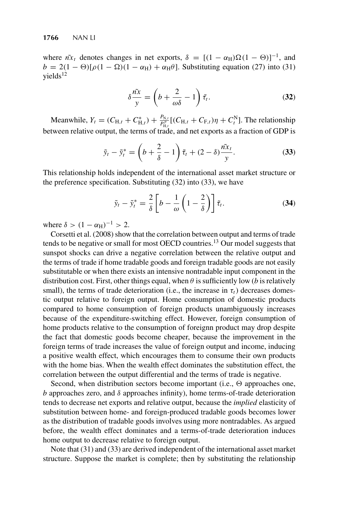where  $n\tilde{x}_t$  denotes changes in net exports,  $\delta = [(1 - \alpha_H)\Omega(1 - \Theta)]^{-1}$ , and  $h = 2(1 - \Theta)\left[\Omega(1 - \Omega)(1 - \alpha_H)\right] + \alpha_H\theta$ . Substituting equation (27) into (31)  $b = 2(1 - \Theta)[\rho(1 - \Omega)(1 - \alpha_H) + \alpha_H \theta]$ . Substituting equation (27) into (31)  $vields<sup>12</sup>$ 

$$
\delta \frac{\tilde{n}x}{y} = \left(b + \frac{2}{\omega \delta} - 1\right) \tilde{\tau}_t.
$$
 (32)

Meanwhile,  $Y_t = (C_{H,t} + C_{H,t}^*) + \frac{P_{N,t}^*}{P_{H,t}^n} [(C_{H,t} + C_{F,t})\eta + C_t^N]$ . The relationship between relative output, the terms of trade, and net exports as a fraction of GDP is

$$
\tilde{y}_t - \tilde{y}_t^* = \left(b + \frac{2}{\delta} - 1\right)\tilde{\tau}_t + (2 - \delta)\frac{\tilde{n}x_t}{y}.
$$
\n(33)

This relationship holds independent of the international asset market structure or the preference specification. Substituting (32) into (33), we have

$$
\tilde{y}_t - \tilde{y}_t^* = \frac{2}{\delta} \left[ b - \frac{1}{\omega} \left( 1 - \frac{2}{\delta} \right) \right] \tilde{\tau}_t.
$$
 (34)

where  $\delta > (1 - \alpha_H)^{-1} > 2$ .

Corsetti et al. (2008) show that the correlation between output and terms of trade tends to be negative or small for most OECD countries.<sup>13</sup> Our model suggests that sunspot shocks can drive a negative correlation between the relative output and the terms of trade if home tradable goods and foreign tradable goods are not easily substitutable or when there exists an intensive nontradable input component in the distribution cost. First, other things equal, when  $\theta$  is sufficiently low (*b* is relatively small), the terms of trade deterioration (i.e., the increase in  $\tau_t$ ) decreases domestic output relative to foreign output. Home consumption of domestic products compared to home consumption of foreign products unambiguously increases because of the expenditure-switching effect. However, foreign consumption of home products relative to the consumption of foreignn product may drop despite the fact that domestic goods become cheaper, because the improvement in the foreign terms of trade increases the value of foreign output and income, inducing a positive wealth effect, which encourages them to consume their own products with the home bias. When the wealth effect dominates the substitution effect, the correlation between the output differential and the terms of trade is negative.

Second, when distribution sectors become important (i.e.,  $\Theta$  approaches one, b approaches zero, and  $\delta$  approaches infinity), home terms-of-trade deterioration tends to decrease net exports and relative output, because the *implied* elasticity of substitution between home- and foreign-produced tradable goods becomes lower as the distribution of tradable goods involves using more nontradables. As argued before, the wealth effect dominates and a terms-of-trade deterioration induces home output to decrease relative to foreign output.

Note that (31) and (33) are derived independent of the international asset market structure. Suppose the market is complete; then by substituting the relationship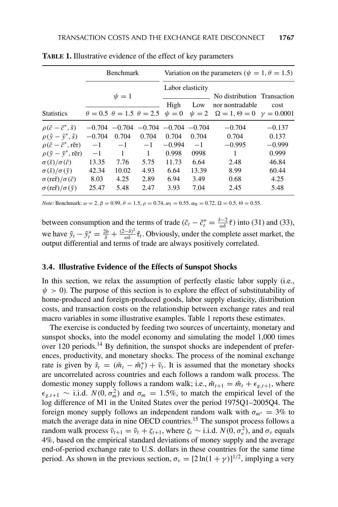|                                                                                    | <b>Benchmark</b>     |                   |              | Variation on the parameters ( $\psi = 1, \theta = 1.5$ ) |       |                                                                                                                                                                 |                   |
|------------------------------------------------------------------------------------|----------------------|-------------------|--------------|----------------------------------------------------------|-------|-----------------------------------------------------------------------------------------------------------------------------------------------------------------|-------------------|
|                                                                                    |                      |                   |              | Labor elasticity                                         |       |                                                                                                                                                                 |                   |
| <b>Statistics</b>                                                                  |                      | $\psi = 1$        |              | High                                                     | Low   | No distribution Transaction<br>nor nontradable<br>$\theta = 0.5$ $\theta = 1.5$ $\theta = 2.5$ $\psi = 0$ $\psi = 2$ $\Omega = 1, \Theta = 0$ $\gamma = 0.0001$ | cost              |
|                                                                                    |                      |                   |              |                                                          |       |                                                                                                                                                                 |                   |
| $\rho(\tilde{c}-\tilde{c}^*,\tilde{s})$<br>$\rho(\tilde{y}-\tilde{y}^*,\tilde{s})$ | $-0.704$<br>$-0.704$ | $-0.704$<br>0.704 | 0.704        | $-0.704$ $-0.704$ $-0.704$<br>0.704                      | 0.704 | $-0.704$<br>0.704                                                                                                                                               | $-0.137$<br>0.137 |
| $\rho(\tilde{c}-\tilde{c}^*, \tilde{r}$                                            | $-1$                 | $-1$              | $-1$         | $-0.994$                                                 | $-1$  | $-0.995$                                                                                                                                                        | $-0.999$          |
| $\rho(\tilde{y}-\tilde{y}^*, r\tilde{e}r)$                                         | $-1$                 | 1                 | $\mathbf{1}$ | 0.998                                                    | 0998  | 1                                                                                                                                                               | 0.999             |
| $\sigma(\tilde{s})/\sigma(\tilde{c})$                                              | 13.35                | 7.76              | 5.75         | 11.73                                                    | 6.64  | 2.48                                                                                                                                                            | 46.84             |
| $\sigma(\tilde{S})/\sigma(\tilde{y})$                                              | 42.34                | 10.02             | 4.93         | 6.64                                                     | 13.39 | 8.99                                                                                                                                                            | 60.44             |
| $\sigma$ (reñ)/ $\sigma$ ( $\tilde{c}$ )                                           | 8.03                 | 4.25              | 2.89         | 6.94                                                     | 3.49  | 0.68                                                                                                                                                            | 4.25              |
| $\sigma$ (ref)/ $\sigma$ ( $\tilde{v}$ )                                           | 25.47                | 5.48              | 2.47         | 3.93                                                     | 7.04  | 2.45                                                                                                                                                            | 5.48              |

**TABLE 1.** Illustrative evidence of the effect of key parameters

*Note*: Benchmark:  $\omega = 2$ ,  $\beta = 0.99$ ,  $\theta = 1.5$ ,  $\rho = 0.74$ ,  $\alpha_{\text{T}} = 0.55$ ,  $\alpha_{\text{H}} = 0.72$ ,  $\Omega = 0.5$ ,  $\Theta = 0.55$ .

between consumption and the terms of trade  $(\tilde{c}_t - \tilde{c}_t^* = \frac{\delta - 2}{\omega \delta} \tilde{\tau})$  into (31) and (33), we have  $\tilde{y}_t - \tilde{y}_t^* = \frac{2b}{\delta} + \frac{(2-\delta)^2}{\omega \delta} \tilde{\tau}_t$ . Obviously, under the complete asset market, the output differential and terms of trade are always positively correlated output differential and terms of trade are always positively correlated.

## **3.4. Illustrative Evidence of the Effects of Sunspot Shocks**

In this section, we relax the assumption of perfectly elastic labor supply (i.e.,  $\psi > 0$ ). The purpose of this section is to explore the effect of substitutability of home-produced and foreign-produced goods, labor supply elasticity, distribution costs, and transaction costs on the relationship between exchange rates and real macro variables in some illustrative examples. Table 1 reports these estimates.

The exercise is conducted by feeding two sources of uncertainty, monetary and sunspot shocks, into the model economy and simulating the model 1,000 times over 120 periods.<sup>14</sup> By definition, the sunspot shocks are independent of preferences, productivity, and monetary shocks. The process of the nominal exchange rate is given by  $\tilde{s}_t = (\tilde{m}_t - \tilde{m}_t^*) + \tilde{v}_t$ . It is assumed that the monetary shocks are uncorrelated across countries and each follows a random walk process. The are uncorrelated across countries and each follows a random walk process. The domestic money supply follows a random walk; i.e.,  $\tilde{m}_{t+1} = \tilde{m}_t + \epsilon_{e,t+1}$ , where  $\epsilon_{g,t+1} \sim$  i.i.d.  $N(0, \sigma_m^2)$  and  $\sigma_m = 1.5\%$ , to match the empirical level of the log difference of M1 in the United States over the period 197501–200504. The log difference of M1 in the United States over the period 1975Q1–2005Q4. The foreign money supply follows an independent random walk with  $\sigma_{m^*} = 3\%$  to match the average data in nine OECD countries.<sup>15</sup> The sunspot process follows a random walk process  $\tilde{\nu}_{t+1} = \tilde{\nu}_t + \zeta_{t+1}$ , where  $\zeta_t \sim$  i.i.d.  $N(0, \sigma_v^2)$ , and  $\sigma_v$  equals  $4\%$  based on the empirical standard deviations of money supply and the average 4%, based on the empirical standard deviations of money supply and the average end-of-period exchange rate to U.S. dollars in these countries for the same time period. As shown in the previous section,  $\sigma_{\nu} = [2 \ln(1 + \gamma)]^{1/2}$ , implying a very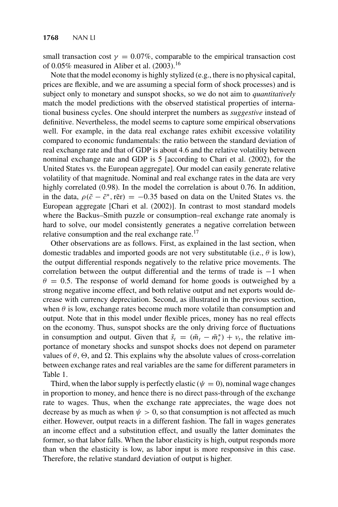small transaction cost  $\gamma = 0.07\%$ , comparable to the empirical transaction cost of 0.05% measured in Aliber et al.  $(2003).^{16}$ 

Note that the model economy is highly stylized (e.g., there is no physical capital, prices are flexible, and we are assuming a special form of shock processes) and is subject only to monetary and sunspot shocks, so we do not aim to *quantitatively* match the model predictions with the observed statistical properties of international business cycles. One should interpret the numbers as *suggestive* instead of definitive. Nevertheless, the model seems to capture some empirical observations well. For example, in the data real exchange rates exhibit excessive volatility compared to economic fundamentals: the ratio between the standard deviation of real exchange rate and that of GDP is about 4.6 and the relative volatility between nominal exchange rate and GDP is 5 [according to Chari et al. (2002), for the United States vs. the European aggregate]. Our model can easily generate relative volatility of that magnitude. Nominal and real exchange rates in the data are very highly correlated (0.98). In the model the correlation is about 0.76. In addition, in the data,  $\rho(\tilde{c} - \tilde{c}^*, r\tilde{e}r) = -0.35$  based on data on the United States vs. the European aggregate [Chari et al. (2002)]. In contrast to most standard models European aggregate [Chari et al. (2002)]. In contrast to most standard models where the Backus–Smith puzzle or consumption–real exchange rate anomaly is hard to solve, our model consistently generates a negative correlation between relative consumption and the real exchange rate.<sup>17</sup>

Other observations are as follows. First, as explained in the last section, when domestic tradables and imported goods are not very substitutable (i.e.,  $\theta$  is low), the output differential responds negatively to the relative price movements. The correlation between the output differential and the terms of trade is  $-1$  when  $\theta = 0.5$ . The response of world demand for home goods is outweighed by a strong negative income effect, and both relative output and net exports would decrease with currency depreciation. Second, as illustrated in the previous section, when  $\theta$  is low, exchange rates become much more volatile than consumption and output. Note that in this model under flexible prices, money has no real effects on the economy. Thus, sunspot shocks are the only driving force of fluctuations in consumption and output. Given that  $\tilde{s}_t = (\tilde{m}_t - \tilde{m}_t^*) + v_t$ , the relative im-<br>portance of monetary shocks and support shocks does not depend on parameter portance of monetary shocks and sunspot shocks does not depend on parameter values of  $\theta$ ,  $\Theta$ , and  $\Omega$ . This explains why the absolute values of cross-correlation between exchange rates and real variables are the same for different parameters in Table 1.

Third, when the labor supply is perfectly elastic ( $\psi = 0$ ), nominal wage changes in proportion to money, and hence there is no direct pass-through of the exchange rate to wages. Thus, when the exchange rate appreciates, the wage does not decrease by as much as when  $\psi > 0$ , so that consumption is not affected as much either. However, output reacts in a different fashion. The fall in wages generates an income effect and a substitution effect, and usually the latter dominates the former, so that labor falls. When the labor elasticity is high, output responds more than when the elasticity is low, as labor input is more responsive in this case. Therefore, the relative standard deviation of output is higher.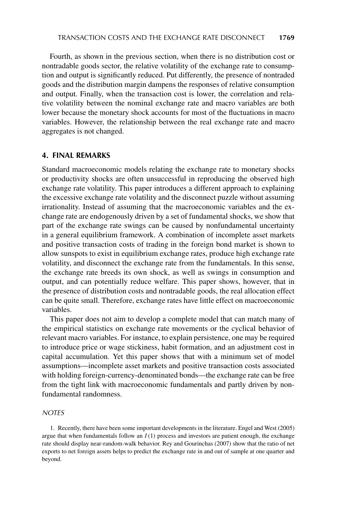Fourth, as shown in the previous section, when there is no distribution cost or nontradable goods sector, the relative volatility of the exchange rate to consumption and output is significantly reduced. Put differently, the presence of nontraded goods and the distribution margin dampens the responses of relative consumption and output. Finally, when the transaction cost is lower, the correlation and relative volatility between the nominal exchange rate and macro variables are both lower because the monetary shock accounts for most of the fluctuations in macro variables. However, the relationship between the real exchange rate and macro aggregates is not changed.

## **4. FINAL REMARKS**

Standard macroeconomic models relating the exchange rate to monetary shocks or productivity shocks are often unsuccessful in reproducing the observed high exchange rate volatility. This paper introduces a different approach to explaining the excessive exchange rate volatility and the disconnect puzzle without assuming irrationality. Instead of assuming that the macroeconomic variables and the exchange rate are endogenously driven by a set of fundamental shocks, we show that part of the exchange rate swings can be caused by nonfundamental uncertainty in a general equilibrium framework. A combination of incomplete asset markets and positive transaction costs of trading in the foreign bond market is shown to allow sunspots to exist in equilibrium exchange rates, produce high exchange rate volatility, and disconnect the exchange rate from the fundamentals. In this sense, the exchange rate breeds its own shock, as well as swings in consumption and output, and can potentially reduce welfare. This paper shows, however, that in the presence of distribution costs and nontradable goods, the real allocation effect can be quite small. Therefore, exchange rates have little effect on macroeconomic variables.

This paper does not aim to develop a complete model that can match many of the empirical statistics on exchange rate movements or the cyclical behavior of relevant macro variables. For instance, to explain persistence, one may be required to introduce price or wage stickiness, habit formation, and an adjustment cost in capital accumulation. Yet this paper shows that with a minimum set of model assumptions—incomplete asset markets and positive transaction costs associated with holding foreign-currency-denominated bonds—the exchange rate can be free from the tight link with macroeconomic fundamentals and partly driven by nonfundamental randomness.

### *NOTES*

1. Recently, there have been some important developments in the literature. Engel and West (2005) argue that when fundamentals follow an  $I(1)$  process and investors are patient enough, the exchange rate should display near-random-walk behavior. Rey and Gourinchas (2007) show that the ratio of net exports to net foreign assets helps to predict the exchange rate in and out of sample at one quarter and beyond.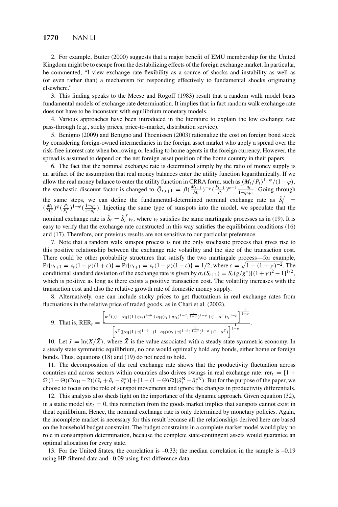2. For example, Buiter (2000) suggests that a major benefit of EMU membership for the United Kingdom might be to escape from the destabilizing effects of the foreign exchange market. In particular, he commented, "I view exchange rate flexibility as a source of shocks and instability as well as (or even rather than) a mechanism for responding effectively to fundamental shocks originating elsewhere."

3. This finding speaks to the Meese and Rogoff (1983) result that a random walk model beats fundamental models of exchange rate determination. It implies that in fact random walk exchange rate does not have to be inconstant with equilibrium monetary models.

4. Various approaches have been introduced in the literature to explain the low exchange rate pass-through (e.g., sticky prices, price-to-market, distribution service).

5. Benigno (2009) and Benigno and Thoenissen (2003) rationalize the cost on foreign bond stock by considering foreign-owned intermediaries in the foreign asset market who apply a spread over the risk-free interest rate when borrowing or lending to home agents in the foreign currency. However, the spread is assumed to depend on the net foreign asset position of the home country in their papers.

6. The fact that the nominal exchange rate is determined simply by the ratio of money supply is an artifact of the assumption that real money balances enter the utility function logarithmically. If we allow the real money balance to enter the utility function in CRRA form, such as  $(M_t/P_t)^{1-\varphi}/(1-\varphi)$ ,<br>the stochastic discount foctor is changed to  $\tilde{Q}_{t} = -\frac{\beta (M_t+1)-\varphi}{1-\varphi} \cdot \frac{P_{t+1}}{1-\varphi}$ , Going through the stochastic discount factor is changed to  $\tilde{Q}_{t,t+1} = \beta(\frac{M_{t+1}}{M_t})^{-\varphi}(\frac{P_{t+1}}{P_t})^{\varphi-1}\frac{1-q_t}{1-q_{t+1}}$ . Going through the same steps, we can define the fundamental-determined nominal exchange rate as  $\tilde{S}_t^f =$ <br>  $\ell M_t \vee \ell^n$ ,  $\ell^{1-q}$ ,  $\ell^{1-q}$ , Injecting the same type of supports into the model we speculate that the  $(\frac{M_t}{M_t^*})^{\varphi}(\frac{P_t}{P_t^*})^{1-\varphi}(\frac{1-q_t}{1-q_t^*})$ . Injecting the same type of sunspots into the model, we speculate that the nominal exchange rate is  $\tilde{S}_t = \tilde{S}_t^f v_t$ , where  $v_t$  satisfies the same martingale processes as in (19). It is easy to verify that the exchange rate constructed in this way satisfies the equilibrium conditions (16) and (17). Therefore, our previous results are not sensitive to our particular preference.

7. Note that a random walk sunspot process is not the only stochastic process that gives rise to this positive relationship between the exchange rate volatility and the size of the transaction cost. There could be other probability structures that satisfy the two martingale process—for example, Pr{ $v_{t+1} = v_t(1+\gamma)(1+\varepsilon)$ } = Pr{ $v_{t+1} = v_t(1+\gamma)(1-\varepsilon)$ } = 1/2, where  $\varepsilon = \sqrt{1-(1+\gamma)^{-2}}$ . The<br>conditional standard deviation of the exchange rate is given by  $\sigma(S_{t+1}) = S(\sigma/\sigma^*)[(1+\gamma)^2 - 1]^{1/2}$ . conditional standard deviation of the exchange rate is given by  $\sigma_t(S_{t+1}) = S_t(g/g^*)[(1+\gamma)^2 - 1]^{1/2}$ , which is positive as long as there exists a positive transaction cost. The volatility increases with the transaction cost and also the relative growth rate of domestic money supply.

8. Alternatively, one can include sticky prices to get fluctuations in real exchange rates from fluctuations in the relative price of traded goods, as in Chari et al. (2002).

9. That is, 
$$
RER_t = \frac{\left[\alpha^T((1-\alpha_H)(1+\eta\tau_t)^{1-\theta}+\alpha_H(\tau_t+\eta\tau_t)^{1-\theta})^{\frac{1}{1-\theta}})^{1-\rho}+(1-\alpha^T)\tau_t^{1-\rho}\right]^{\frac{1}{1-\rho}}}{\left[\alpha^T((\alpha_H(1+\eta)^{1-\theta}+(1-\alpha_H)(\tau_t+\eta)^{1-\theta})^{\frac{1}{1-\theta}})^{1-\rho}+(1-\alpha^T)\right]^{\frac{1}{1-\rho}}}.
$$

10. Let  $\tilde{x} = \ln(X/\overline{X})$ , where  $\overline{X}$  is the value associated with a steady state symmetric economy. In a steady state symmetric equilibrium, no one would optimally hold any bonds, either home or foreign bonds. Thus, equations (18) and (19) do not need to hold.

11. The decomposition of the real exchange rate shows that the productivity fluctuation across countries and across sectors within countries also drives swings in real exchange rate: rer $t = [1 + \frac{1}{2}]$  $\Omega(1-\Theta)(2\alpha_H - 2)(\tilde{v}_t + \tilde{a}_t - \tilde{a}_t^*) + [1-(1-\Theta)\Omega](\tilde{a}_t^N - \tilde{a}_t^*)$ . But for the purpose of the paper, we choose to focus on the role of support movements and ignore the changes in productivity differentials choose to focus on the role of sunspot movements and ignore the changes in productivity differentials.

12. This analysis also sheds light on the importance of the dynamic approach. Given equation (32), in a static model  $n\tilde{x}_t = 0$ , this restriction from the goods market implies that sunspots cannot exist in theat equilibrium. Hence, the nominal exchange rate is only determined by monetary policies. Again, the incomplete market is necessary for this result because all the relationships derived here are based on the household budget constraint. The budget constraints in a complete market model would play no role in consumption determination, because the complete state-contingent assets would guarantee an optimal allocation for every state.

13. For the United States, the correlation is –0.33; the median correlation in the sample is –0.19 using HP-filtered data and –0.09 using first-difference data.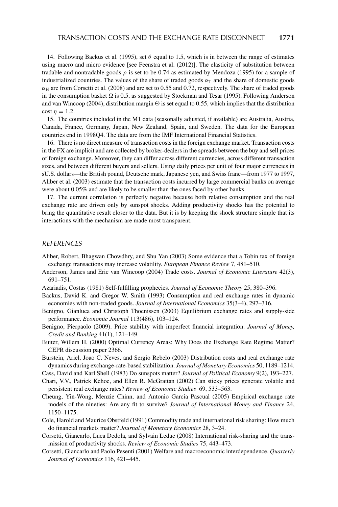14. Following Backus et al. (1995), set  $\theta$  equal to 1.5, which is in between the range of estimates using macro and micro evidence [see Feenstra et al. (2012)]. The elasticity of substitution between tradable and nontradable goods  $\rho$  is set to be 0.74 as estimated by Mendoza (1995) for a sample of industrialized countries. The values of the share of traded goods  $\alpha<sub>T</sub>$  and the share of domestic goods  $\alpha_H$  are from Corsetti et al. (2008) and are set to 0.55 and 0.72, respectively. The share of traded goods in the consumption basket  $\Omega$  is 0.5, as suggested by Stockman and Tesar (1995). Following Anderson and van Wincoop (2004), distribution margin  $\Theta$  is set equal to 0.55, which implies that the distribution cost  $n = 1.2$ .

15. The countries included in the M1 data (seasonally adjusted, if available) are Australia, Austria, Canada, France, Germany, Japan, New Zealand, Spain, and Sweden. The data for the European countries end in 1998Q4. The data are from the IMF International Financial Statistics.

16. There is no direct measure of transaction costs in the foreign exchange market. Transaction costs in the FX are implicit and are collected by broker-dealers in the spreads between the buy and sell prices of foreign exchange. Moreover, they can differ across different currencies, across different transaction sizes, and between different buyers and sellers. Using daily prices per unit of four major currencies in sU.S. dollars—the British pound, Deutsche mark, Japanese yen, and Swiss franc—from 1977 to 1997, Aliber et al. (2003) estimate that the transaction costs incurred by large commercial banks on average were about 0.05% and are likely to be smaller than the ones faced by other banks.

17. The current correlation is perfectly negative because both relative consumption and the real exchange rate are driven only by sunspot shocks. Adding productivity shocks has the potential to bring the quantitative result closer to the data. But it is by keeping the shock structure simple that its interactions with the mechanism are made most transparent.

#### *REFERENCES*

- Aliber, Robert, Bhagwan Chowdhry, and Shu Yan (2003) Some evidence that a Tobin tax of foreign exchange transactions may increase volatility. *European Finance Review* 7, 481–510.
- Anderson, James and Eric van Wincoop (2004) Trade costs. *Journal of Economic Literature* 42(3), 691–751.
- Azariadis, Costas (1981) Self-fulfilling prophecies. *Journal of Economic Theory* 25, 380–396.
- Backus, David K. and Gregor W. Smith (1993) Consumption and real exchange rates in dynamic economies with non-traded goods. *Journal of International Economics* 35(3–4), 297–316.
- Benigno, Gianluca and Christoph Thoenissen (2003) Equilibrium exchange rates and supply-side performance. *Economic Journal* 113(486), 103–124.
- Benigno, Pierpaolo (2009). Price stability with imperfect financial integration. *Journal of Money, Credit and Banking* 41(1), 121–149.
- Buiter, Willem H. (2000) Optimal Currency Areas: Why Does the Exchange Rate Regime Matter? CEPR discussion paper 2366.
- Burstein, Ariel, Joao C. Neves, and Sergio Rebelo (2003) Distribution costs and real exchange rate dynamics during exchange-rate-based stabilization. *Journal of Monetary Economics* 50, 1189–1214.
- Cass, David and Karl Shell (1983) Do sunspots matter? *Journal of Political Economy* 9(2), 193–227.
- Chari, V.V., Patrick Kehoe, and Ellen R. McGrattan (2002) Can sticky prices generate volatile and persistent real exchange rates? *Review of Economic Studies* 69, 533–563.
- Cheung, Yin-Wong, Menzie Chinn, and Antonio Garcia Pascual (2005) Empirical exchange rate models of the nineties: Are any fit to survive? *Journal of International Money and Finance* 24, 1150–1175.
- Cole, Harold and Maurice Obstfeld (1991) Commodity trade and international risk sharing: How much do financial markets matter? *Journal of Monetary Economics* 28, 3–24.
- Corsetti, Giancarlo, Luca Dedola, and Sylvain Leduc (2008) International risk-sharing and the transmission of productivity shocks. *Review of Economic Studies* 75, 443–473.
- Corsetti, Giancarlo and Paolo Pesenti (2001) Welfare and macroeconomic interdependence. *Quarterly Journal of Economics* 116, 421–445.